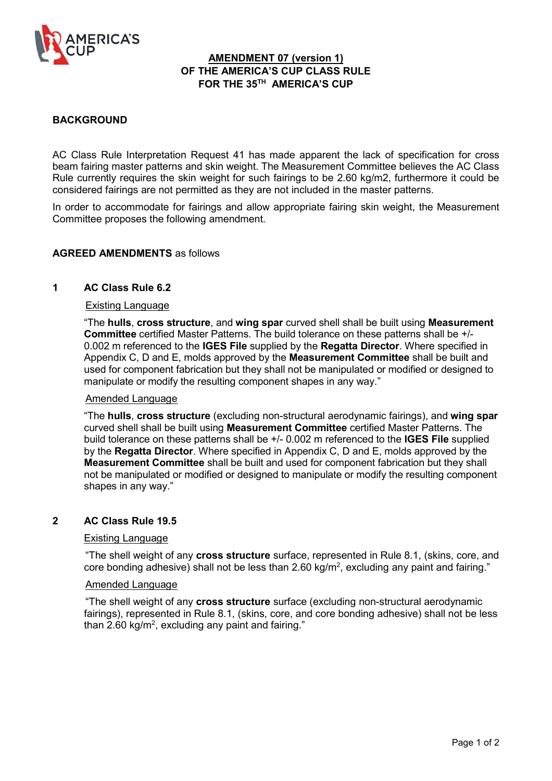

### **AMENDMENT 07 (version 1) OF THE AMERICA'S CUP CLASS RULE FOR THE 35TH AMERICA'S CUP**

### **BACKGROUND**

AC Class Rule Interpretation Request 41 has made apparent the lack of specification for cross beam fairing master patterns and skin weight. The Measurement Committee believes the AC Class Rule currently requires the skin weight for such fairings to be 2.60 kg/m2, furthermore it could be considered fairings are not permitted as they are not included in the master patterns.

In order to accommodate for fairings and allow appropriate fairing skin weight, the Measurement Committee proposes the following amendment.

### **AGREED AMENDMENTS** as follows

### **1 AC Class Rule 6.2**

### Existing Language

"The **hulls**, **cross structure**, and **wing spar** curved shell shall be built using **Measurement Committee** certified Master Patterns. The build tolerance on these patterns shall be +/- 0.002 m referenced to the **IGES File** supplied by the **Regatta Director**. Where specified in Appendix C, D and E, molds approved by the **Measurement Committee** shall be built and used for component fabrication but they shall not be manipulated or modified or designed to manipulate or modify the resulting component shapes in any way."

### Amended Language

"The **hulls**, **cross structure** (excluding non-structural aerodynamic fairings), and **wing spar** curved shell shall be built using **Measurement Committee** certified Master Patterns. The build tolerance on these patterns shall be +/- 0.002 m referenced to the **IGES File** supplied by the **Regatta Director**. Where specified in Appendix C, D and E, molds approved by the **Measurement Committee** shall be built and used for component fabrication but they shall not be manipulated or modified or designed to manipulate or modify the resulting component shapes in any way."

### **2 AC Class Rule 19.5**

### Existing Language

"The shell weight of any **cross structure** surface, represented in Rule 8.1, (skins, core, and core bonding adhesive) shall not be less than 2.60 kg/m<sup>2</sup>, excluding any paint and fairing."

### Amended Language

"The shell weight of any **cross structure** surface (excluding non-structural aerodynamic fairings), represented in Rule 8.1, (skins, core, and core bonding adhesive) shall not be less than 2.60 kg/m<sup>2</sup>, excluding any paint and fairing."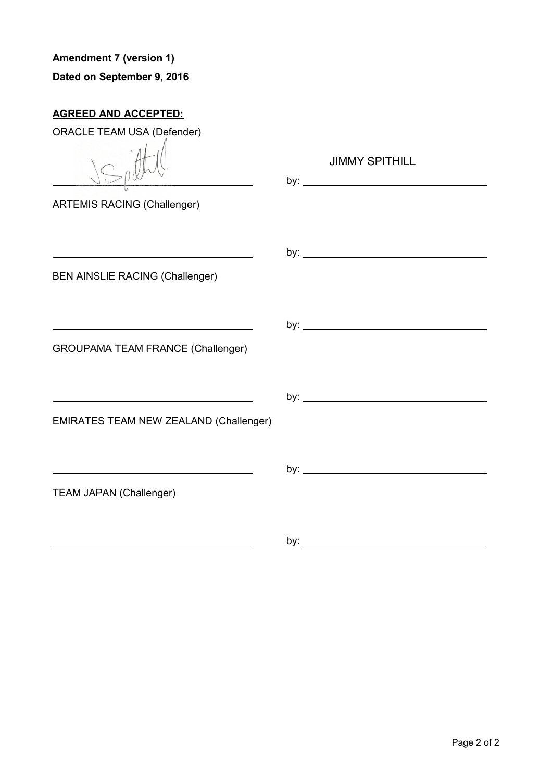# **Amendment 7 (version 1) Dated on September 9, 2016**

# **AGREED AND ACCEPTED:**

| <b>ORACLE TEAM USA (Defender)</b>                             |                       |
|---------------------------------------------------------------|-----------------------|
|                                                               | <b>JIMMY SPITHILL</b> |
| <b>ARTEMIS RACING (Challenger)</b>                            |                       |
| <u> 1980 - Johann Barn, mars an t-Amerikaansk politiker (</u> |                       |
| <b>BEN AINSLIE RACING (Challenger)</b>                        |                       |
|                                                               |                       |
| <b>GROUPAMA TEAM FRANCE (Challenger)</b>                      |                       |
|                                                               |                       |
| <b>EMIRATES TEAM NEW ZEALAND (Challenger)</b>                 |                       |
|                                                               |                       |
| <b>TEAM JAPAN (Challenger)</b>                                |                       |
|                                                               | by:                   |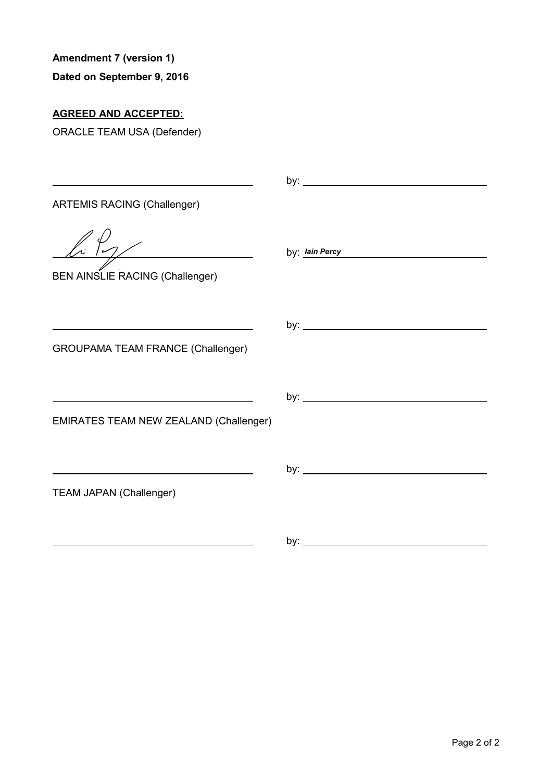## **Dated on September 9, 2016**

# **AGREED AND ACCEPTED:**

|                                                                | by: $\frac{1}{2}$     |
|----------------------------------------------------------------|-----------------------|
| <b>ARTEMIS RACING (Challenger)</b>                             |                       |
| $\frac{1}{\sqrt{2}}$<br><b>BEN AINSLIE RACING (Challenger)</b> | by: <u>Iain Percy</u> |
| <b>GROUPAMA TEAM FRANCE (Challenger)</b>                       |                       |
| <b>EMIRATES TEAM NEW ZEALAND (Challenger)</b>                  |                       |
| <b>TEAM JAPAN (Challenger)</b>                                 |                       |
|                                                                |                       |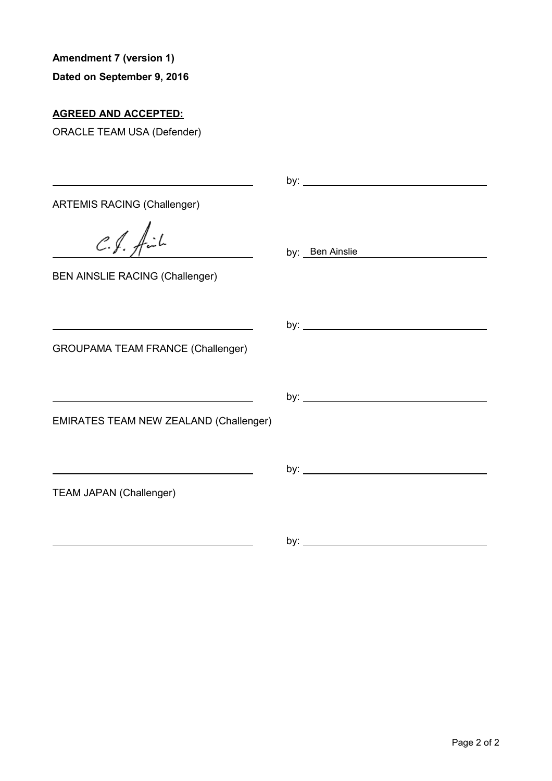## **Dated on September 9, 2016**

# **AGREED AND ACCEPTED:**

| <b>ARTEMIS RACING (Challenger)</b>       |                 |
|------------------------------------------|-----------------|
| $C.f.$ fil                               | by: Ben Ainslie |
| <b>BEN AINSLIE RACING (Challenger)</b>   |                 |
|                                          |                 |
| <b>GROUPAMA TEAM FRANCE (Challenger)</b> |                 |
|                                          |                 |
| EMIRATES TEAM NEW ZEALAND (Challenger)   |                 |
|                                          |                 |
| <b>TEAM JAPAN (Challenger)</b>           |                 |
|                                          |                 |
|                                          |                 |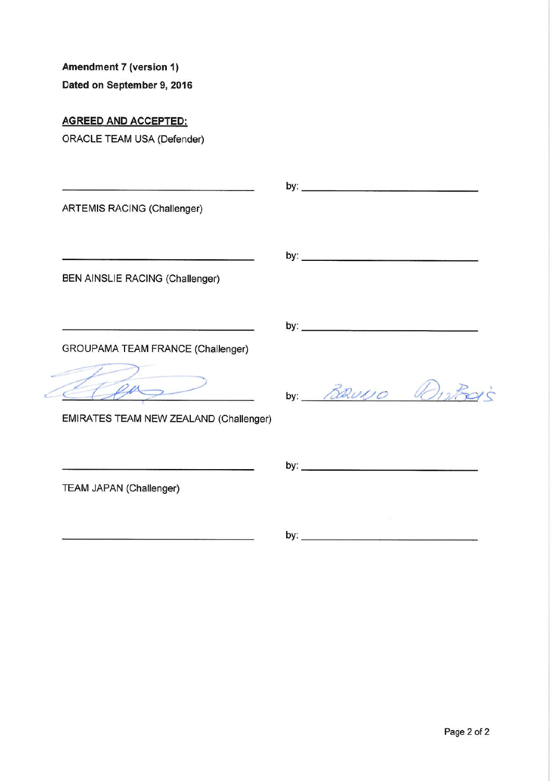Dated on September 9, 2016

## **AGREED AND ACCEPTED:**

| <b>ARTEMIS RACING (Challenger)</b>     |                 |
|----------------------------------------|-----------------|
| BEN AINSLIE RACING (Challenger)        |                 |
| GROUPAMA TEAM FRANCE (Challenger)      |                 |
| EMIRATES TEAM NEW ZEALAND (Challenger) | by: BRUNO Wisks |
| TEAM JAPAN (Challenger)                |                 |
|                                        |                 |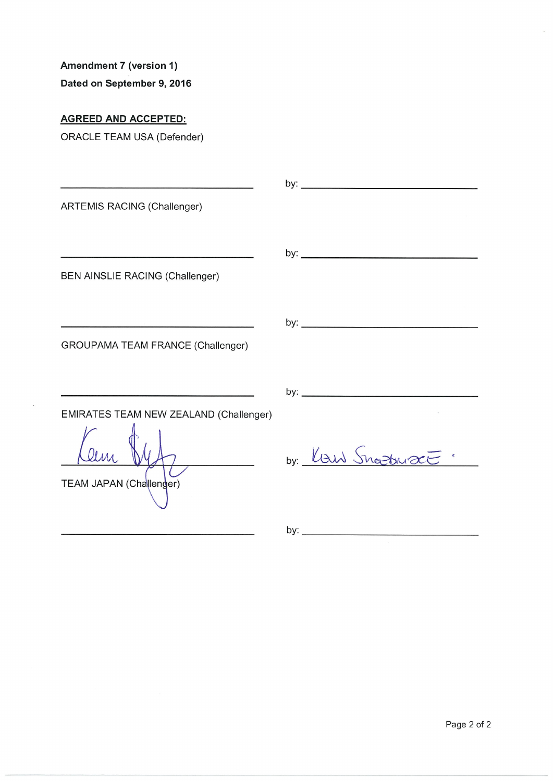Dated on September 9, 2016

## **AGREED AND ACCEPTED:**

| <b>ARTEMIS RACING (Challenger)</b>       |                 |
|------------------------------------------|-----------------|
|                                          |                 |
| BEN AINSLIE RACING (Challenger)          |                 |
|                                          |                 |
| <b>GROUPAMA TEAM FRANCE (Challenger)</b> |                 |
|                                          |                 |
| EMIRATES TEAM NEW ZEALAND (Challenger)   |                 |
|                                          | by: Law Snowact |
| TEAM JAPAN (Challenger)                  |                 |
|                                          |                 |